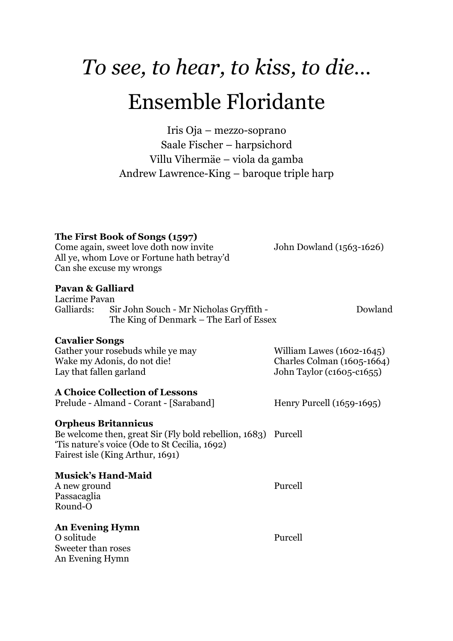# *To see, to hear, to kiss, to die…* Ensemble Floridante

Iris Oja – mezzo-soprano Saale Fischer – harpsichord Villu Vihermäe – viola da gamba Andrew Lawrence-King – baroque triple harp

# **The First Book of Songs (1597)**

Come again, sweet love doth now invite John Dowland (1563-1626) All ye, whom Love or Fortune hath betray'd Can she excuse my wrongs

# **Pavan & Galliard**

Lacrime Pavan Galliards: Sir John Souch - Mr Nicholas Gryffith - Dowland The King of Denmark – The Earl of Essex

# **Cavalier Songs**

Gather your rosebuds while ye may William Lawes (1602-1645) Wake my Adonis, do not die! Charles Colman (1605-1664) Lay that fallen garland John Taylor (c1605-c1655)

# **A Choice Collection of Lessons**

Prelude - Almand - Corant - [Saraband] Henry Purcell (1659-1695)

# **Orpheus Britannicus**

Be welcome then, great Sir (Fly bold rebellion, 1683) Purcell 'Tis nature's voice (Ode to St Cecilia, 1692) Fairest isle (King Arthur, 1691)

# **Musick's Hand-Maid**

A new ground Purcell Passacaglia Round-O

# **An Evening Hymn**

O solitude Purcell Sweeter than roses An Evening Hymn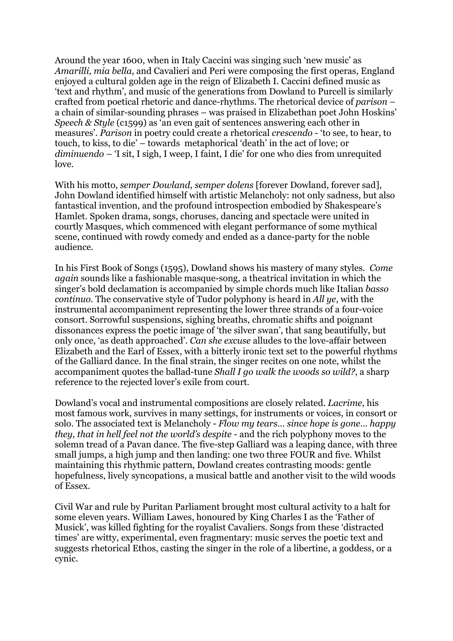Around the year 1600, when in Italy Caccini was singing such 'new music' as *Amarilli, mia bella*, and Cavalieri and Peri were composing the first operas, England enjoyed a cultural golden age in the reign of Elizabeth I. Caccini defined music as 'text and rhythm', and music of the generations from Dowland to Purcell is similarly crafted from poetical rhetoric and dance-rhythms. The rhetorical device of *parison* – a chain of similar-sounding phrases – was praised in Elizabethan poet John Hoskins' *Speech & Style* (c1599) as 'an even gait of sentences answering each other in measures'. *Parison* in poetry could create a rhetorical *crescendo* - 'to see, to hear, to touch, to kiss, to die' – towards metaphorical 'death' in the act of love; or *diminuendo* – 'I sit, I sigh, I weep, I faint, I die' for one who dies from unrequited love.

With his motto, *semper Dowland, semper dolens* [forever Dowland, forever sad], John Dowland identified himself with artistic Melancholy: not only sadness, but also fantastical invention, and the profound introspection embodied by Shakespeare's Hamlet. Spoken drama, songs, choruses, dancing and spectacle were united in courtly Masques, which commenced with elegant performance of some mythical scene, continued with rowdy comedy and ended as a dance-party for the noble audience.

In his First Book of Songs (1595), Dowland shows his mastery of many styles. *Come again* sounds like a fashionable masque-song, a theatrical invitation in which the singer's bold declamation is accompanied by simple chords much like Italian *basso continuo*. The conservative style of Tudor polyphony is heard in *All ye*, with the instrumental accompaniment representing the lower three strands of a four-voice consort. Sorrowful suspensions, sighing breaths, chromatic shifts and poignant dissonances express the poetic image of 'the silver swan', that sang beautifully, but only once, 'as death approached'. *Can she excuse* alludes to the love-affair between Elizabeth and the Earl of Essex, with a bitterly ironic text set to the powerful rhythms of the Galliard dance. In the final strain, the singer recites on one note, whilst the accompaniment quotes the ballad-tune *Shall I go walk the woods so wild?*, a sharp reference to the rejected lover's exile from court.

Dowland's vocal and instrumental compositions are closely related. *Lacrime*, his most famous work, survives in many settings, for instruments or voices, in consort or solo. The associated text is Melancholy - *Flow my tears… since hope is gone… happy they, that in hell feel not the world's despite* - and the rich polyphony moves to the solemn tread of a Pavan dance. The five-step Galliard was a leaping dance, with three small jumps, a high jump and then landing: one two three FOUR and five. Whilst maintaining this rhythmic pattern, Dowland creates contrasting moods: gentle hopefulness, lively syncopations, a musical battle and another visit to the wild woods of Essex.

Civil War and rule by Puritan Parliament brought most cultural activity to a halt for some eleven years. William Lawes, honoured by King Charles I as the 'Father of Musick', was killed fighting for the royalist Cavaliers. Songs from these 'distracted times' are witty, experimental, even fragmentary: music serves the poetic text and suggests rhetorical Ethos, casting the singer in the role of a libertine, a goddess, or a cynic.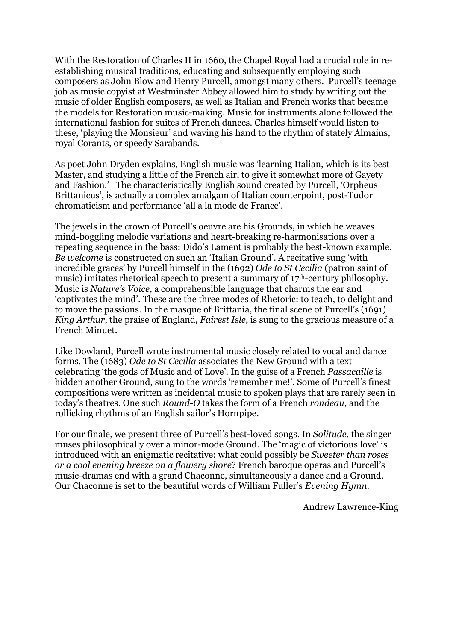With the Restoration of Charles II in 1660, the Chapel Royal had a crucial role in reestablishing musical traditions, educating and subsequently employing such composers as John Blow and Henry Purcell, amongst many others. Purcell's teenage job as music copyist at Westminster Abbey allowed him to study by writing out the music of older English composers, as well as Italian and French works that became the models for Restoration music-making. Music for instruments alone followed the international fashion for suites of French dances. Charles himself would listen to these, 'playing the Monsieur' and waving his hand to the rhythm of stately Almains, royal Corants, or speedy Sarabands.

As poet John Dryden explains, English music was 'learning Italian, which is its best Master, and studying a little of the French air, to give it somewhat more of Gayety and Fashion.' The characteristically English sound created by Purcell, 'Orpheus Brittanicus', is actually a complex amalgam of Italian counterpoint, post-Tudor chromaticism and performance 'all a la mode de France'.

The jewels in the crown of Purcell's oeuvre are his Grounds, in which he weaves mind-boggling melodic variations and heart-breaking re-harmonisations over a repeating sequence in the bass: Dido's Lament is probably the best-known example. *Be welcome* is constructed on such an 'Italian Ground'. A recitative sung 'with incredible graces' by Purcell himself in the (1692) *Ode to St Cecilia* (patron saint of music) imitates rhetorical speech to present a summary of 17<sup>th</sup>-century philosophy. Music is *Nature's Voice*, a comprehensible language that charms the ear and 'captivates the mind'. These are the three modes of Rhetoric: to teach, to delight and to move the passions. In the masque of Brittania, the final scene of Purcell's (1691) *King Arthur*, the praise of England, *Fairest Isle*, is sung to the gracious measure of a French Minuet.

Like Dowland, Purcell wrote instrumental music closely related to vocal and dance forms. The (1683) *Ode to St Cecilia* associates the New Ground with a text celebrating 'the gods of Music and of Love'. In the guise of a French *Passacaille* is hidden another Ground, sung to the words 'remember me!'. Some of Purcell's finest compositions were written as incidental music to spoken plays that are rarely seen in today's theatres. One such *Round-O* takes the form of a French *rondeau*, and the rollicking rhythms of an English sailor's Hornpipe.

For our finale, we present three of Purcell's best-loved songs. In *Solitude*, the singer muses philosophically over a minor-mode Ground. The 'magic of victorious love' is introduced with an enigmatic recitative: what could possibly be *Sweeter than roses or a cool evening breeze on a flowery shore*? French baroque operas and Purcell's music-dramas end with a grand Chaconne, simultaneously a dance and a Ground. Our Chaconne is set to the beautiful words of William Fuller's *Evening Hymn*.

Andrew Lawrence-King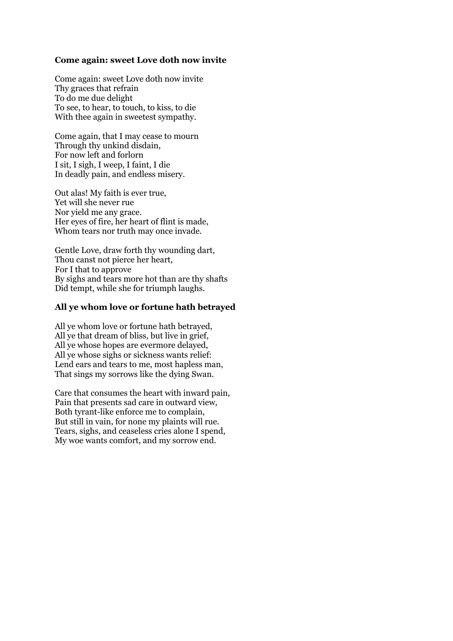## **Come again: sweet Love doth now invite**

Come again: sweet Love doth now invite Thy graces that refrain To do me due delight To see, to hear, to touch, to kiss, to die With thee again in sweetest sympathy.

Come again, that I may cease to mourn Through thy unkind disdain, For now left and forlorn I sit, I sigh, I weep, I faint, I die In deadly pain, and endless misery.

Out alas! My faith is ever true, Yet will she never rue Nor yield me any grace. Her eyes of fire, her heart of flint is made, Whom tears nor truth may once invade.

Gentle Love, draw forth thy wounding dart, Thou canst not pierce her heart, For I that to approve By sighs and tears more hot than are thy shafts Did tempt, while she for triumph laughs.

### **All ye whom love or fortune hath betrayed**

All ye whom love or fortune hath betrayed, All ye that dream of bliss, but live in grief, All ye whose hopes are evermore delayed, All ye whose sighs or sickness wants relief: Lend ears and tears to me, most hapless man, That sings my sorrows like the dying Swan.

Care that consumes the heart with inward pain, Pain that presents sad care in outward view, Both tyrant-like enforce me to complain, But still in vain, for none my plaints will rue. Tears, sighs, and ceaseless cries alone I spend, My woe wants comfort, and my sorrow end.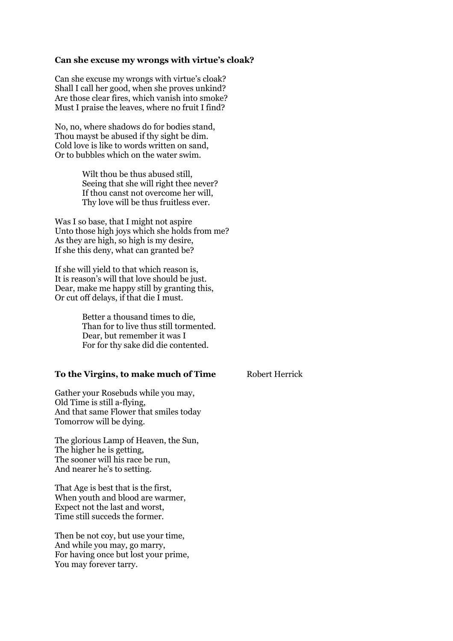#### **Can she excuse my wrongs with virtue's cloak?**

Can she excuse my wrongs with virtue's cloak? Shall I call her good, when she proves unkind? Are those clear fires, which vanish into smoke? Must I praise the leaves, where no fruit I find?

No, no, where shadows do for bodies stand, Thou mayst be abused if thy sight be dim. Cold love is like to words written on sand, Or to bubbles which on the water swim.

> Wilt thou be thus abused still, Seeing that she will right thee never? If thou canst not overcome her will, Thy love will be thus fruitless ever.

Was I so base, that I might not aspire Unto those high joys which she holds from me? As they are high, so high is my desire, If she this deny, what can granted be?

If she will yield to that which reason is, It is reason's will that love should be just. Dear, make me happy still by granting this, Or cut off delays, if that die I must.

> Better a thousand times to die, Than for to live thus still tormented. Dear, but remember it was I For for thy sake did die contented.

#### **To the Virgins, to make much of Time** Robert Herrick

Gather your Rosebuds while you may, Old Time is still a-flying, And that same Flower that smiles today Tomorrow will be dying.

The glorious Lamp of Heaven, the Sun, The higher he is getting, The sooner will his race be run, And nearer he's to setting.

That Age is best that is the first, When youth and blood are warmer. Expect not the last and worst, Time still succeds the former.

Then be not coy, but use your time, And while you may, go marry, For having once but lost your prime, You may forever tarry.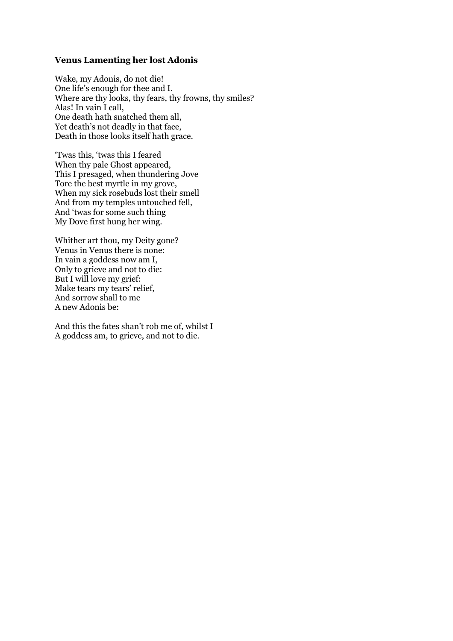#### **Venus Lamenting her lost Adonis**

Wake, my Adonis, do not die! One life's enough for thee and I. Where are thy looks, thy fears, thy frowns, thy smiles? Alas! In vain I call, One death hath snatched them all, Yet death's not deadly in that face, Death in those looks itself hath grace.

'Twas this, 'twas this I feared When thy pale Ghost appeared, This I presaged, when thundering Jove Tore the best myrtle in my grove, When my sick rosebuds lost their smell And from my temples untouched fell, And 'twas for some such thing My Dove first hung her wing.

Whither art thou, my Deity gone? Venus in Venus there is none: In vain a goddess now am I, Only to grieve and not to die: But I will love my grief: Make tears my tears' relief, And sorrow shall to me A new Adonis be:

And this the fates shan't rob me of, whilst I A goddess am, to grieve, and not to die.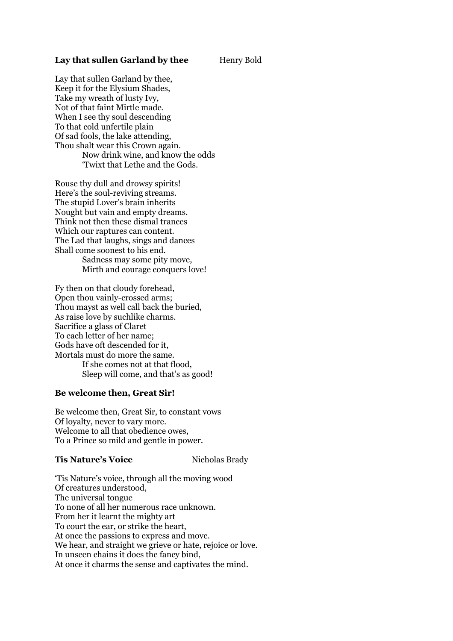#### **Lay that sullen Garland by thee** Henry Bold

Lay that sullen Garland by thee, Keep it for the Elysium Shades, Take my wreath of lusty Ivy, Not of that faint Mirtle made. When I see thy soul descending To that cold unfertile plain Of sad fools, the lake attending, Thou shalt wear this Crown again. Now drink wine, and know the odds 'Twixt that Lethe and the Gods.

Rouse thy dull and drowsy spirits! Here's the soul-reviving streams. The stupid Lover's brain inherits Nought but vain and empty dreams. Think not then these dismal trances Which our raptures can content. The Lad that laughs, sings and dances Shall come soonest to his end. Sadness may some pity move, Mirth and courage conquers love!

Fy then on that cloudy forehead, Open thou vainly-crossed arms; Thou mayst as well call back the buried, As raise love by suchlike charms. Sacrifice a glass of Claret To each letter of her name; Gods have oft descended for it, Mortals must do more the same. If she comes not at that flood, Sleep will come, and that's as good!

### **Be welcome then, Great Sir!**

Be welcome then, Great Sir, to constant vows Of loyalty, never to vary more. Welcome to all that obedience owes, To a Prince so mild and gentle in power.

#### **Tis Nature's Voice** Nicholas Brady

'Tis Nature's voice, through all the moving wood Of creatures understood, The universal tongue To none of all her numerous race unknown. From her it learnt the mighty art To court the ear, or strike the heart, At once the passions to express and move. We hear, and straight we grieve or hate, rejoice or love. In unseen chains it does the fancy bind, At once it charms the sense and captivates the mind.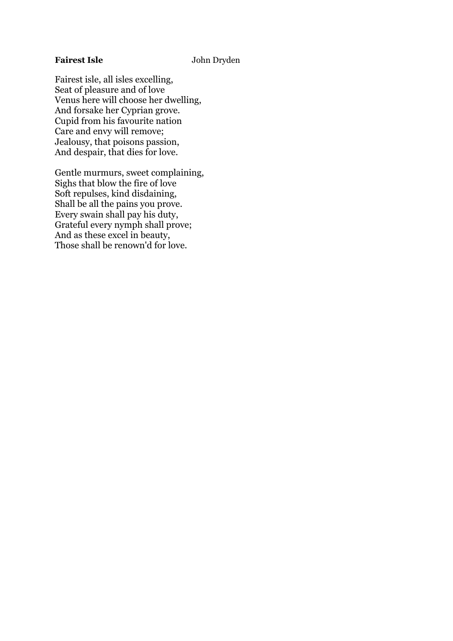# Fairest Isle **John Dryden**

Fairest isle, all isles excelling, Seat of pleasure and of love Venus here will choose her dwelling, And forsake her Cyprian grove. Cupid from his favourite nation Care and envy will remove; Jealousy, that poisons passion, And despair, that dies for love.

Gentle murmurs, sweet complaining, Sighs that blow the fire of love Soft repulses, kind disdaining, Shall be all the pains you prove. Every swain shall pay his duty, Grateful every nymph shall prove; And as these excel in beauty, Those shall be renown'd for love.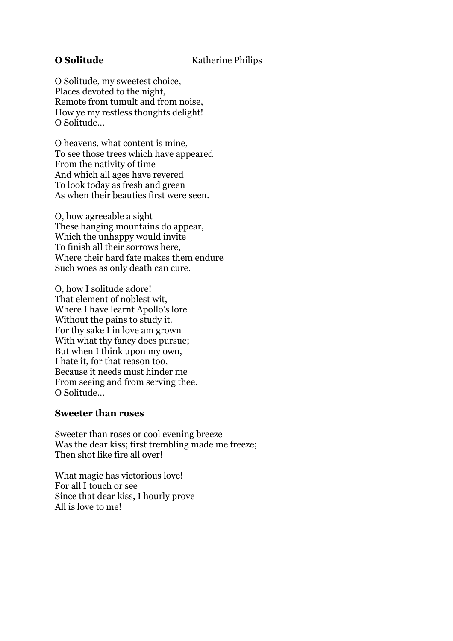O Solitude, my sweetest choice, Places devoted to the night, Remote from tumult and from noise, How ye my restless thoughts delight! O Solitude…

O heavens, what content is mine, To see those trees which have appeared From the nativity of time And which all ages have revered To look today as fresh and green As when their beauties first were seen.

O, how agreeable a sight These hanging mountains do appear, Which the unhappy would invite To finish all their sorrows here, Where their hard fate makes them endure Such woes as only death can cure.

O, how I solitude adore! That element of noblest wit, Where I have learnt Apollo's lore Without the pains to study it. For thy sake I in love am grown With what thy fancy does pursue; But when I think upon my own, I hate it, for that reason too, Because it needs must hinder me From seeing and from serving thee. O Solitude…

# **Sweeter than roses**

Sweeter than roses or cool evening breeze Was the dear kiss; first trembling made me freeze; Then shot like fire all over!

What magic has victorious love! For all I touch or see Since that dear kiss, I hourly prove All is love to me!